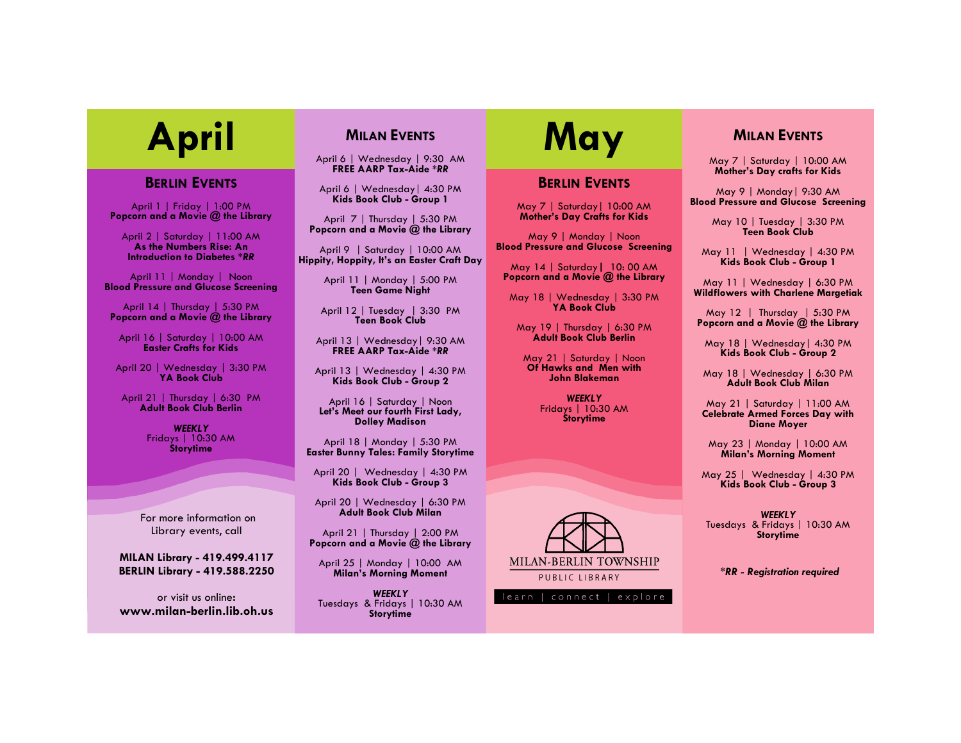#### **BERLIN EVENTS**

April 1 | Friday | 1:00 PM **Popcorn and a Movie @ the Library**

April 2 | Saturday | 11:00 AM **As the Numbers Rise: An Introduction to Diabetes \****RR*

April 11 | Monday | Noon **Blood Pressure and Glucose Screening**

April 14 | Thursday | 5:30 PM **Popcorn and a Movie @ the Library**

April 16 | Saturday | 10:00 AM **Easter Crafts for Kids**

April 20 | Wednesday | 3:30 PM **YA Book Club**

April 21 | Thursday | 6:30 PM **Adult Book Club Berlin**

> *WEEKLY* Fridays | 10:30 AM **Storytime**

For more information on Library events, call

**MILAN Library - 419.499.4117 BERLIN Library - 419.588.2250**

or visit us online**: www.milan-berlin.lib.oh.us**

### **MILAN EVENTS**

April 6 | Wednesday | 9:30 AM **FREE AARP Tax-Aide \****RR*

April 6 | Wednesday| 4:30 PM **Kids Book Club - Group 1**

April 7 | Thursday | 5:30 PM **Popcorn and a Movie @ the Library**

April 9 | Saturday | 10:00 AM **Hippity, Hoppity, It's an Easter Craft Day**

> April 11 | Monday | 5:00 PM **Teen Game Night**

April 12 | Tuesday | 3:30 PM **Teen Book Club**

April 13 | Wednesday| 9:30 AM **FREE AARP Tax-Aide \****RR*

April 13 | Wednesday | 4:30 PM **Kids Book Club - Group 2**

April 16 | Saturday | Noon **Let's Meet our fourth First Lady, Dolley Madison**

April 18 | Monday | 5:30 PM **Easter Bunny Tales: Family Storytime**

April 20 | Wednesday | 4:30 PM **Kids Book Club - Group 3**

April 20 | Wednesday | 6:30 PM **Adult Book Club Milan**

April 21 | Thursday | 2:00 PM **Popcorn and a Movie @ the Library**

April 25 | Monday | 10:00 AM **Milan's Morning Moment**

*WEEKLY* Tuesdays & Fridays | 10:30 AM **Storytime**

# April MILAN EVENTS **May**

#### **BERLIN EVENTS**

May 7 | Saturday| 10:00 AM **Mother's Day Crafts for Kids** 

May 9 | Monday | Noon **Blood Pressure and Glucose Screening**

May 14 | Saturday**|** 10: 00 AM **Popcorn and a Movie @ the Library**

May 18 | Wednesday | 3:30 PM **YA Book Club**

May 19 | Thursday | 6:30 PM **Adult Book Club Berlin** 

May 21 | Saturday | Noon **Of Hawks and Men with John Blakeman**

> *WEEKLY* Fridays | 10:30 AM **Storytime**



#### **MILAN EVENTS**

May 7 | Saturday | 10:00 AM **Mother's Day crafts for Kids**

May 9 | Monday| 9:30 AM **Blood Pressure and Glucose Screening**

> May 10 | Tuesday | 3:30 PM **Teen Book Club**

May 11 | Wednesday | 4:30 PM **Kids Book Club - Group 1**

May 11 | Wednesday | 6:30 PM **Wildflowers with Charlene Margetiak**

May 12 | Thursday | 5:30 PM **Popcorn and a Movie @ the Library**

May 18 | Wednesday| 4:30 PM **Kids Book Club - Group 2**

May 18 | Wednesday | 6:30 PM **Adult Book Club Milan**

May 21 | Saturday | 11:00 AM **Celebrate Armed Forces Day with Diane Moyer**

May 23 | Monday | 10:00 AM **Milan's Morning Moment**

May 25 | Wednesday | 4:30 PM **Kids Book Club - Group 3**

*WEEKLY* Tuesdays & Fridays | 10:30 AM **Storytime**

*\*RR - Registration required*